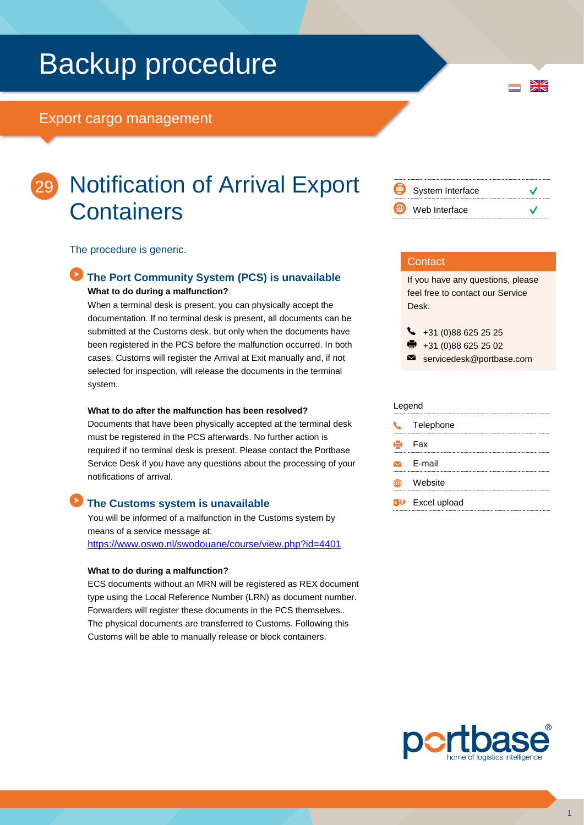# Backup procedure

## Export cargo management



## 29 Notification of Arrival Export **Containers**

The procedure is generic.

## **The Port Community System (PCS) is unavailable What to do during a malfunction?**

When a terminal desk is present, you can physically accept the documentation. If no terminal desk is present, all documents can be submitted at the Customs desk, but only when the documents have been registered in the PCS before the malfunction occurred. In both cases, Customs will register the Arrival at Exit manually and, if not selected for inspection, will release the documents in the terminal system.

#### **What to do after the malfunction has been resolved?**

Documents that have been physically accepted at the terminal desk must be registered in the PCS afterwards. No further action is required if no terminal desk is present. Please contact the Portbase Service Desk if you have any questions about the processing of your notifications of arrival.

## **The Customs system is unavailable**

You will be informed of a malfunction in the Customs system by means of a service message at: <https://www.oswo.nl/swodouane/course/view.php?id=4401>

#### **What to do during a malfunction?**

ECS documents without an MRN will be registered as REX document type using the Local Reference Number (LRN) as document number. Forwarders will register these documents in the PCS themselves.. The physical documents are transferred to Customs. Following this Customs will be able to manually release or block containers.

| ⇔           | System Interface |  |
|-------------|------------------|--|
| $\bigoplus$ | Web Interface    |  |

### **Contact**

If you have any questions, please feel free to contact our Service Desk.

 $\begin{array}{r} \big\{\end{array}$  +31 (0)88 625 25 25

- $\bullet$  +31 (0)88 625 25 02
- servicedesk@portbase.com

#### Legend

| U. | Telephone                          |
|----|------------------------------------|
|    | <b>侵</b> Fax                       |
|    | $\triangleright$ F-mail            |
|    | Website                            |
|    | <b>x</b> <sup>y</sup> Excel upload |



 $\frac{N}{Z}$